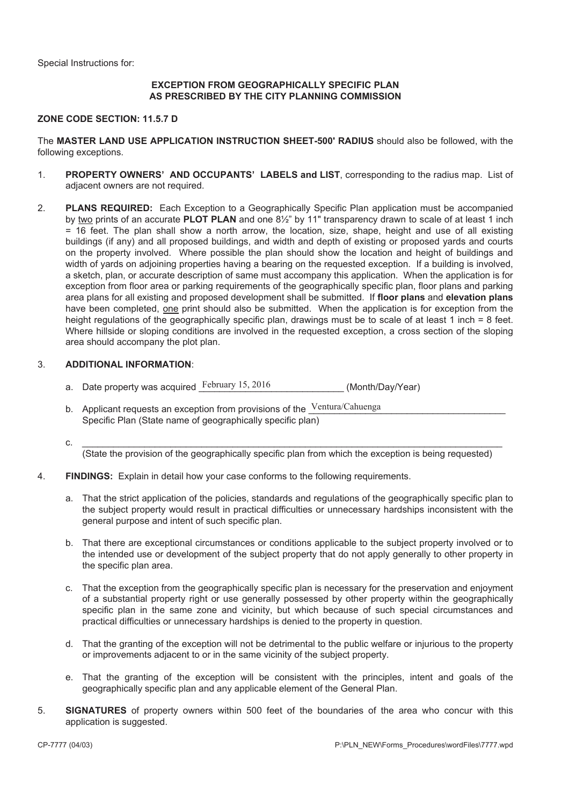Special Instructions for:

#### **EXCEPTION FROM GEOGRAPHICALLY SPECIFIC PLAN AS PRESCRIBED BY THE CITY PLANNING COMMISSION**

#### **ZONE CODE SECTION: 11.5.7 D**

The **MASTER LAND USE APPLICATION INSTRUCTION SHEET-500' RADIUS** should also be followed, with the following exceptions.

- 1. **PROPERTY OWNERS' AND OCCUPANTS' LABELS and LIST**, corresponding to the radius map. List of adiacent owners are not required.
- 2. **PLANS REQUIRED:** Each Exception to a Geographically Specific Plan application must be accompanied by two prints of an accurate **PLOT PLAN** and one 8½" by 11" transparency drawn to scale of at least 1 inch = 16 feet. The plan shall show a north arrow, the location, size, shape, height and use of all existing buildings (if any) and all proposed buildings, and width and depth of existing or proposed yards and courts on the property involved. Where possible the plan should show the location and height of buildings and width of yards on adjoining properties having a bearing on the requested exception. If a building is involved, a sketch, plan, or accurate description of same must accompany this application. When the application is for exception from floor area or parking requirements of the geographically specific plan, floor plans and parking area plans for all existing and proposed development shall be submitted. If **floor plans** and **elevation plans** have been completed, one print should also be submitted. When the application is for exception from the height regulations of the geographically specific plan, drawings must be to scale of at least 1 inch = 8 feet. Where hillside or sloping conditions are involved in the requested exception, a cross section of the sloping area should accompany the plot plan.

#### 3. **ADDITIONAL INFORMATION**:

- a. Date property was acquired February 15, 2016 (Month/Day/Year)
- b. Applicant requests an exception from provisions of the  $\frac{\text{Ventura/Caluenga}}{\text{Ventura/Caluenga}}$ Specific Plan (State name of geographically specific plan)
- **c.**  $\frac{1}{2}$

(State the provision of the geographically specific plan from which the exception is being requested)

- 4. **FINDINGS:** Explain in detail how your case conforms to the following requirements.
	- a. That the strict application of the policies, standards and regulations of the geographically specific plan to the subject property would result in practical difficulties or unnecessary hardships inconsistent with the general purpose and intent of such specific plan.
	- b. That there are exceptional circumstances or conditions applicable to the subject property involved or to the intended use or development of the subject property that do not apply generally to other property in the specific plan area.
	- c. That the exception from the geographically specific plan is necessary for the preservation and enjoyment of a substantial property right or use generally possessed by other property within the geographically specific plan in the same zone and vicinity, but which because of such special circumstances and practical difficulties or unnecessary hardships is denied to the property in question.
	- d. That the granting of the exception will not be detrimental to the public welfare or injurious to the property or improvements adjacent to or in the same vicinity of the subject property.
	- e. That the granting of the exception will be consistent with the principles, intent and goals of the geographically specific plan and any applicable element of the General Plan.
- 5. **SIGNATURES** of property owners within 500 feet of the boundaries of the area who concur with this application is suggested.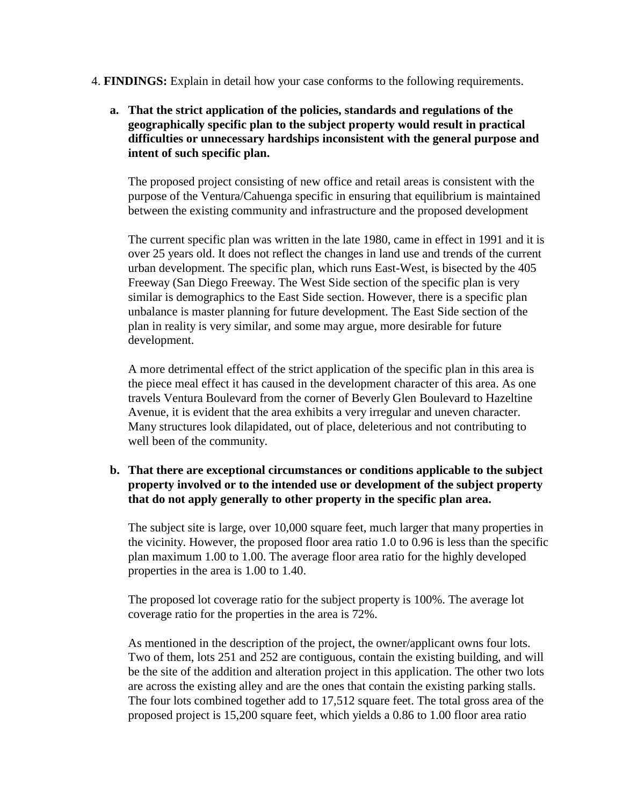- 4. **FINDINGS:** Explain in detail how your case conforms to the following requirements.
	- **a. That the strict application of the policies, standards and regulations of the geographically specific plan to the subject property would result in practical difficulties or unnecessary hardships inconsistent with the general purpose and intent of such specific plan.**

The proposed project consisting of new office and retail areas is consistent with the purpose of the Ventura/Cahuenga specific in ensuring that equilibrium is maintained between the existing community and infrastructure and the proposed development

The current specific plan was written in the late 1980, came in effect in 1991 and it is over 25 years old. It does not reflect the changes in land use and trends of the current urban development. The specific plan, which runs East-West, is bisected by the 405 Freeway (San Diego Freeway. The West Side section of the specific plan is very similar is demographics to the East Side section. However, there is a specific plan unbalance is master planning for future development. The East Side section of the plan in reality is very similar, and some may argue, more desirable for future development.

A more detrimental effect of the strict application of the specific plan in this area is the piece meal effect it has caused in the development character of this area. As one travels Ventura Boulevard from the corner of Beverly Glen Boulevard to Hazeltine Avenue, it is evident that the area exhibits a very irregular and uneven character. Many structures look dilapidated, out of place, deleterious and not contributing to well been of the community.

# **b. That there are exceptional circumstances or conditions applicable to the subject property involved or to the intended use or development of the subject property that do not apply generally to other property in the specific plan area.**

The subject site is large, over 10,000 square feet, much larger that many properties in the vicinity. However, the proposed floor area ratio 1.0 to 0.96 is less than the specific plan maximum 1.00 to 1.00. The average floor area ratio for the highly developed properties in the area is 1.00 to 1.40.

The proposed lot coverage ratio for the subject property is 100%. The average lot coverage ratio for the properties in the area is 72%.

As mentioned in the description of the project, the owner/applicant owns four lots. Two of them, lots 251 and 252 are contiguous, contain the existing building, and will be the site of the addition and alteration project in this application. The other two lots are across the existing alley and are the ones that contain the existing parking stalls. The four lots combined together add to 17,512 square feet. The total gross area of the proposed project is 15,200 square feet, which yields a 0.86 to 1.00 floor area ratio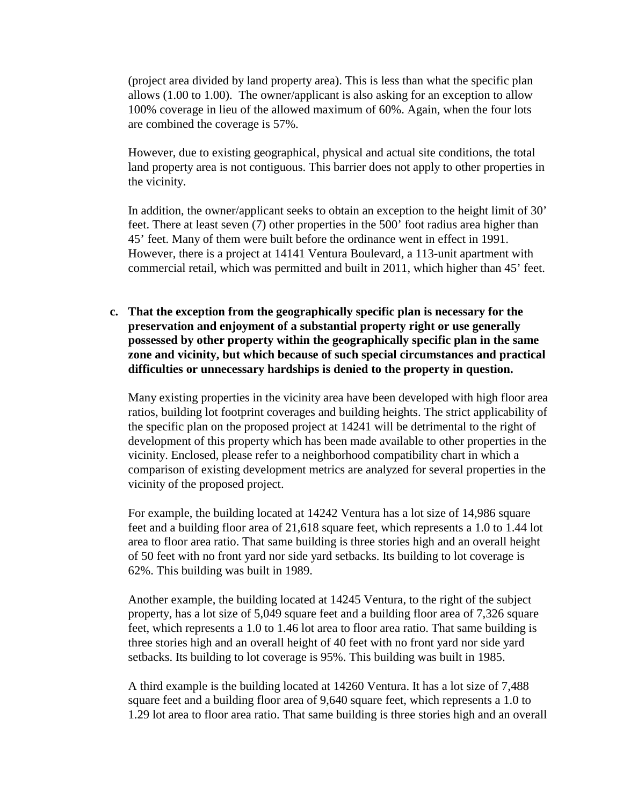(project area divided by land property area). This is less than what the specific plan allows (1.00 to 1.00). The owner/applicant is also asking for an exception to allow 100% coverage in lieu of the allowed maximum of 60%. Again, when the four lots are combined the coverage is 57%.

However, due to existing geographical, physical and actual site conditions, the total land property area is not contiguous. This barrier does not apply to other properties in the vicinity.

In addition, the owner/applicant seeks to obtain an exception to the height limit of 30' feet. There at least seven (7) other properties in the 500' foot radius area higher than 45' feet. Many of them were built before the ordinance went in effect in 1991. However, there is a project at 14141 Ventura Boulevard, a 113-unit apartment with commercial retail, which was permitted and built in 2011, which higher than 45' feet.

**c. That the exception from the geographically specific plan is necessary for the preservation and enjoyment of a substantial property right or use generally possessed by other property within the geographically specific plan in the same zone and vicinity, but which because of such special circumstances and practical difficulties or unnecessary hardships is denied to the property in question.** 

Many existing properties in the vicinity area have been developed with high floor area ratios, building lot footprint coverages and building heights. The strict applicability of the specific plan on the proposed project at 14241 will be detrimental to the right of development of this property which has been made available to other properties in the vicinity. Enclosed, please refer to a neighborhood compatibility chart in which a comparison of existing development metrics are analyzed for several properties in the vicinity of the proposed project.

For example, the building located at 14242 Ventura has a lot size of 14,986 square feet and a building floor area of 21,618 square feet, which represents a 1.0 to 1.44 lot area to floor area ratio. That same building is three stories high and an overall height of 50 feet with no front yard nor side yard setbacks. Its building to lot coverage is 62%. This building was built in 1989.

Another example, the building located at 14245 Ventura, to the right of the subject property, has a lot size of 5,049 square feet and a building floor area of 7,326 square feet, which represents a 1.0 to 1.46 lot area to floor area ratio. That same building is three stories high and an overall height of 40 feet with no front yard nor side yard setbacks. Its building to lot coverage is 95%. This building was built in 1985.

A third example is the building located at 14260 Ventura. It has a lot size of 7,488 square feet and a building floor area of 9,640 square feet, which represents a 1.0 to 1.29 lot area to floor area ratio. That same building is three stories high and an overall